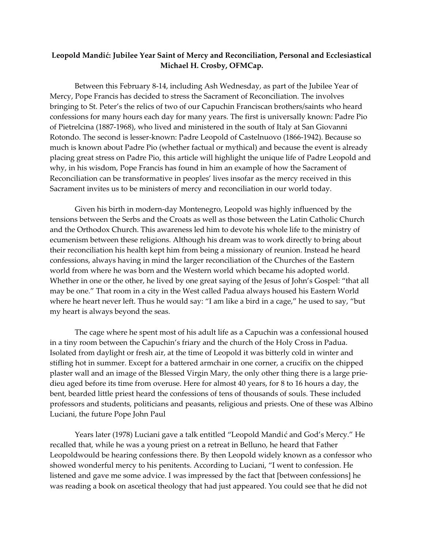## Leopold Mandić: Jubilee Year Saint of Mercy and Reconciliation, Personal and Ecclesiastical **Michael H. Crosby, OFMCap.**

Between this February 8-14, including Ash Wednesday, as part of the Jubilee Year of Mercy, Pope Francis has decided to stress the Sacrament of Reconciliation. The involves bringing to St. Peter's the relics of two of our Capuchin Franciscan brothers/saints who heard confessions for many hours each day for many years. The first is universally known: Padre Pio of Pietrelcina (1887-1968), who lived and ministered in the south of Italy at San Giovanni Rotondo. The second is lesser-known: Padre Leopold of Castelnuovo (1866-1942). Because so much is known about Padre Pio (whether factual or mythical) and because the event is already placing great stress on Padre Pio, this article will highlight the unique life of Padre Leopold and why, in his wisdom, Pope Francis has found in him an example of how the Sacrament of Reconciliation can be transformative in peoples' lives insofar as the mercy received in this Sacrament invites us to be ministers of mercy and reconciliation in our world today.

Given his birth in modern-day Montenegro, Leopold was highly influenced by the tensions between the Serbs and the Croats as well as those between the Latin Catholic Church and the Orthodox Church. This awareness led him to devote his whole life to the ministry of ecumenism between these religions. Although his dream was to work directly to bring about their reconciliation his health kept him from being a missionary of reunion. Instead he heard confessions, always having in mind the larger reconciliation of the Churches of the Eastern world from where he was born and the Western world which became his adopted world. Whether in one or the other, he lived by one great saying of the Jesus of John's Gospel: "that all may be one." That room in a city in the West called Padua always housed his Eastern World where he heart never left. Thus he would say: "I am like a bird in a cage," he used to say, "but my heart is always beyond the seas.

The cage where he spent most of his adult life as a Capuchin was a confessional housed in a tiny room between the Capuchin's friary and the church of the Holy Cross in Padua. Isolated from daylight or fresh air, at the time of Leopold it was bitterly cold in winter and stifling hot in summer. Except for a battered armchair in one corner, a crucifix on the chipped plaster wall and an image of the Blessed Virgin Mary, the only other thing there is a large priedieu aged before its time from overuse. Here for almost 40 years, for 8 to 16 hours a day, the bent, bearded little priest heard the confessions of tens of thousands of souls. These included professors and students, politicians and peasants, religious and priests. One of these was Albino Luciani, the future Pope John Paul

Years later (1978) Luciani gave a talk entitled "Leopold Mandić and God's Mercy." He recalled that, while he was a young priest on a retreat in Belluno, he heard that Father Leopoldwould be hearing confessions there. By then Leopold widely known as a confessor who showed wonderful mercy to his penitents. According to Luciani, "I went to confession. He listened and gave me some advice. I was impressed by the fact that [between confessions] he was reading a book on ascetical theology that had just appeared. You could see that he did not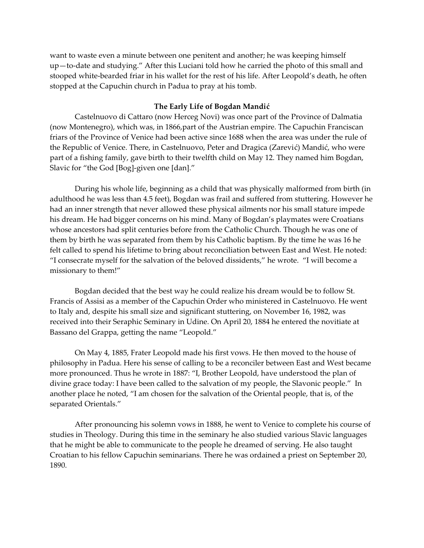want to waste even a minute between one penitent and another; he was keeping himself up—to-date and studying." After this Luciani told how he carried the photo of this small and stooped white-bearded friar in his wallet for the rest of his life. After Leopold's death, he often stopped at the Capuchin church in Padua to pray at his tomb.

## **The Early Life of Bogdan Mandić**

Castelnuovo di Cattaro (now Herceg Novi) was once part of the Province of Dalmatia (now Montenegro), which was, in 1866,part of the Austrian empire. The Capuchin Franciscan friars of the Province of Venice had been active since 1688 when the area was under the rule of the Republic of Venice. There, in Castelnuovo, Peter and Dragica (Zarević) Mandić, who were part of a fishing family, gave birth to their twelfth child on May 12. They named him Bogdan, Slavic for "the God [Bog]-given one [dan]."

During his whole life, beginning as a child that was physically malformed from birth (in adulthood he was less than 4.5 feet), Bogdan was frail and suffered from stuttering. However he had an inner strength that never allowed these physical ailments nor his small stature impede his dream. He had bigger concerns on his mind. Many of Bogdan's playmates were Croatians whose ancestors had split centuries before from the Catholic Church. Though he was one of them by birth he was separated from them by his Catholic baptism. By the time he was 16 he felt called to spend his lifetime to bring about reconciliation between East and West. He noted: "I consecrate myself for the salvation of the beloved dissidents," he wrote. "I will become a missionary to them!"

Bogdan decided that the best way he could realize his dream would be to follow St. Francis of Assisi as a member of the Capuchin Order who ministered in Castelnuovo. He went to Italy and, despite his small size and significant stuttering, on November 16, 1982, was received into their Seraphic Seminary in Udine. On April 20, 1884 he entered the novitiate at Bassano del Grappa, getting the name "Leopold."

On May 4, 1885, Frater Leopold made his first vows. He then moved to the house of philosophy in Padua. Here his sense of calling to be a reconciler between East and West became more pronounced. Thus he wrote in 1887: "I, Brother Leopold, have understood the plan of divine grace today: I have been called to the salvation of my people, the Slavonic people." In another place he noted, "I am chosen for the salvation of the Oriental people, that is, of the separated Orientals."

After pronouncing his solemn vows in 1888, he went to Venice to complete his course of studies in Theology. During this time in the seminary he also studied various Slavic languages that he might be able to communicate to the people he dreamed of serving. He also taught Croatian to his fellow Capuchin seminarians. There he was ordained a priest on September 20, 1890.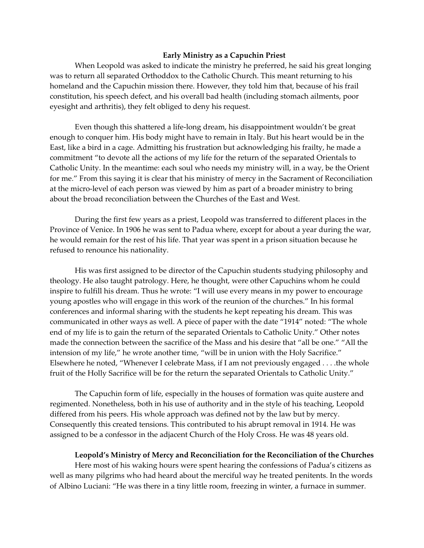## **Early Ministry as a Capuchin Priest**

When Leopold was asked to indicate the ministry he preferred, he said his great longing was to return all separated Orthoddox to the Catholic Church. This meant returning to his homeland and the Capuchin mission there. However, they told him that, because of his frail constitution, his speech defect, and his overall bad health (including stomach ailments, poor eyesight and arthritis), they felt obliged to deny his request.

Even though this shattered a life-long dream, his disappointment wouldn't be great enough to conquer him. His body might have to remain in Italy. But his heart would be in the East, like a bird in a cage. Admitting his frustration but acknowledging his frailty, he made a commitment "to devote all the actions of my life for the return of the separated Orientals to Catholic Unity. In the meantime: each soul who needs my ministry will, in a way, be the Orient for me." From this saying it is clear that his ministry of mercy in the Sacrament of Reconciliation at the micro-level of each person was viewed by him as part of a broader ministry to bring about the broad reconciliation between the Churches of the East and West.

During the first few years as a priest, Leopold was transferred to different places in the Province of Venice. In 1906 he was sent to Padua where, except for about a year during the war, he would remain for the rest of his life. That year was spent in a prison situation because he refused to renounce his nationality.

His was first assigned to be director of the Capuchin students studying philosophy and theology. He also taught patrology. Here, he thought, were other Capuchins whom he could inspire to fulfill his dream. Thus he wrote: "I will use every means in my power to encourage young apostles who will engage in this work of the reunion of the churches." In his formal conferences and informal sharing with the students he kept repeating his dream. This was communicated in other ways as well. A piece of paper with the date "1914" noted: "The whole end of my life is to gain the return of the separated Orientals to Catholic Unity." Other notes made the connection between the sacrifice of the Mass and his desire that "all be one." "All the intension of my life," he wrote another time, "will be in union with the Holy Sacrifice." Elsewhere he noted, "Whenever I celebrate Mass, if I am not previously engaged . . . .the whole fruit of the Holly Sacrifice will be for the return the separated Orientals to Catholic Unity."

The Capuchin form of life, especially in the houses of formation was quite austere and regimented. Nonetheless, both in his use of authority and in the style of his teaching, Leopold differed from his peers. His whole approach was defined not by the law but by mercy. Consequently this created tensions. This contributed to his abrupt removal in 1914. He was assigned to be a confessor in the adjacent Church of the Holy Cross. He was 48 years old.

## **Leopold's Ministry of Mercy and Reconciliation for the Reconciliation of the Churches**

Here most of his waking hours were spent hearing the confessions of Padua's citizens as well as many pilgrims who had heard about the merciful way he treated penitents. In the words of Albino Luciani: "He was there in a tiny little room, freezing in winter, a furnace in summer.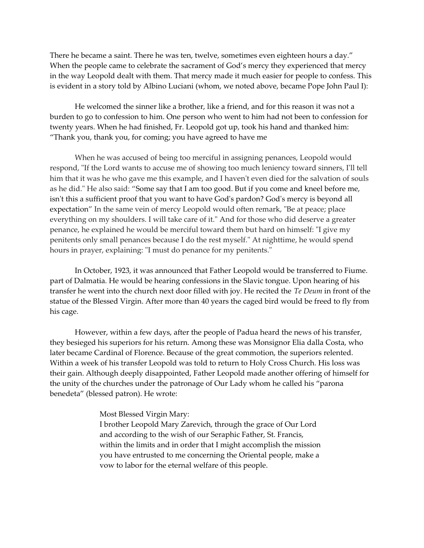There he became a saint. There he was ten, twelve, sometimes even eighteen hours a day." When the people came to celebrate the sacrament of God's mercy they experienced that mercy in the way Leopold dealt with them. That mercy made it much easier for people to confess. This is evident in a story told by Albino Luciani (whom, we noted above, became Pope John Paul I):

He welcomed the sinner like a brother, like a friend, and for this reason it was not a burden to go to confession to him. One person who went to him had not been to confession for twenty years. When he had finished, Fr. Leopold got up, took his hand and thanked him: "Thank you, thank you, for coming; you have agreed to have me

When he was accused of being too merciful in assigning penances, Leopold would respond, "If the Lord wants to accuse me of showing too much leniency toward sinners, I'll tell him that it was he who gave me this example, and I haven't even died for the salvation of souls as he did." He also said: "Some say that I am too good. But if you come and kneel before me, isn't this a sufficient proof that you want to have God's pardon? God's mercy is beyond all expectation" In the same vein of mercy Leopold would often remark, "Be at peace; place everything on my shoulders. I will take care of it." And for those who did deserve a greater penance, he explained he would be merciful toward them but hard on himself: "I give my penitents only small penances because I do the rest myself." At nighttime, he would spend hours in prayer, explaining: "I must do penance for my penitents."

In October, 1923, it was announced that Father Leopold would be transferred to Fiume. part of Dalmatia. He would be hearing confessions in the Slavic tongue. Upon hearing of his transfer he went into the church next door filled with joy. He recited the *Te Deum* in front of the statue of the Blessed Virgin. After more than 40 years the caged bird would be freed to fly from his cage.

However, within a few days, after the people of Padua heard the news of his transfer, they besieged his superiors for his return. Among these was Monsignor Elia dalla Costa, who later became Cardinal of Florence. Because of the great commotion, the superiors relented. Within a week of his transfer Leopold was told to return to Holy Cross Church. His loss was their gain. Although deeply disappointed, Father Leopold made another offering of himself for the unity of the churches under the patronage of Our Lady whom he called his "parona benedeta" (blessed patron). He wrote:

> Most Blessed Virgin Mary: I brother Leopold Mary Zarevich, through the grace of Our Lord and according to the wish of our Seraphic Father, St. Francis, within the limits and in order that I might accomplish the mission you have entrusted to me concerning the Oriental people, make a vow to labor for the eternal welfare of this people.